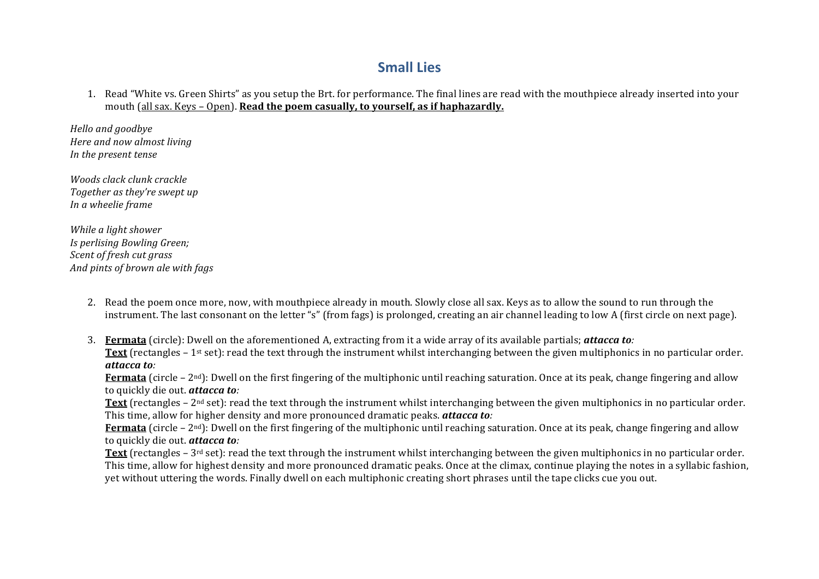# **Small Lies**

1. Read "White vs. Green Shirts" as you setup the Brt. for performance. The final lines are read with the mouthpiece already inserted into your mouth (all sax. Keys – Open). **Read the poem casually, to yourself, as if haphazardly.** 

*Hello and goodbye Here and now almost living In the present tense* 

*Woods clack clunk crackle Together as they're swept up In a wheelie frame* 

*While a light shower Is perlising Bowling Green; Scent of fresh cut grass And pints of brown ale with fags* 

- 2. Read the poem once more, now, with mouthpiece already in mouth. Slowly close all sax. Keys as to allow the sound to run through the instrument. The last consonant on the letter "s" (from fags) is prolonged, creating an air channel leading to low A (first circle on next page).
- 3. **Fermata** (circle): Dwell on the aforementioned A, extracting from it a wide array of its available partials; **attacca to**: **Text** (rectangles – 1<sup>st</sup> set): read the text through the instrument whilst interchanging between the given multiphonics in no particular order. *attacca to:*

**Fermata** (circle –  $2<sup>nd</sup>$ ): Dwell on the first fingering of the multiphonic until reaching saturation. Once at its peak, change fingering and allow to quickly die out. **attacca to**:

**Text** (rectangles –  $2<sup>nd</sup>$  set): read the text through the instrument whilst interchanging between the given multiphonics in no particular order. This time, allow for higher density and more pronounced dramatic peaks. *attacca to*:

**Fermata** (circle – 2<sup>nd</sup>): Dwell on the first fingering of the multiphonic until reaching saturation. Once at its peak, change fingering and allow to quickly die out. **attacca to**:

**Text** (rectangles  $-3^{rd}$  set): read the text through the instrument whilst interchanging between the given multiphonics in no particular order. This time, allow for highest density and more pronounced dramatic peaks. Once at the climax, continue playing the notes in a syllabic fashion, yet without uttering the words. Finally dwell on each multiphonic creating short phrases until the tape clicks cue you out.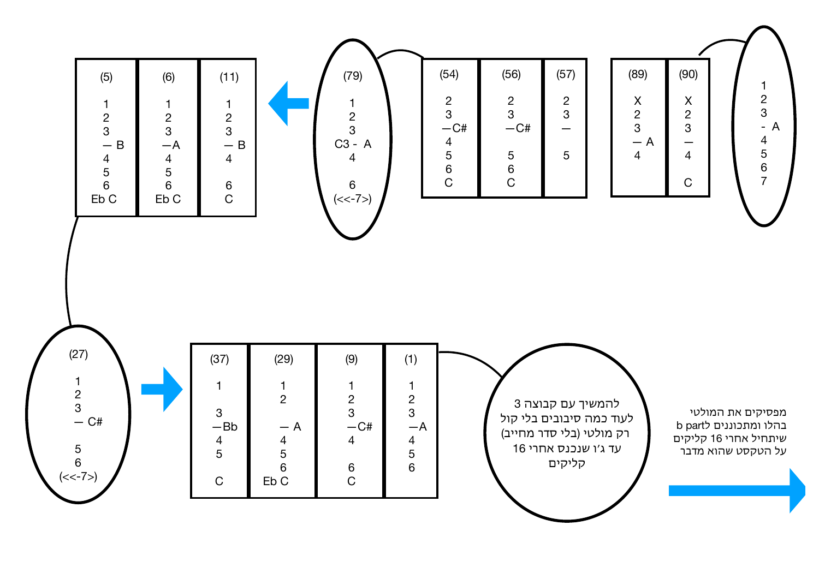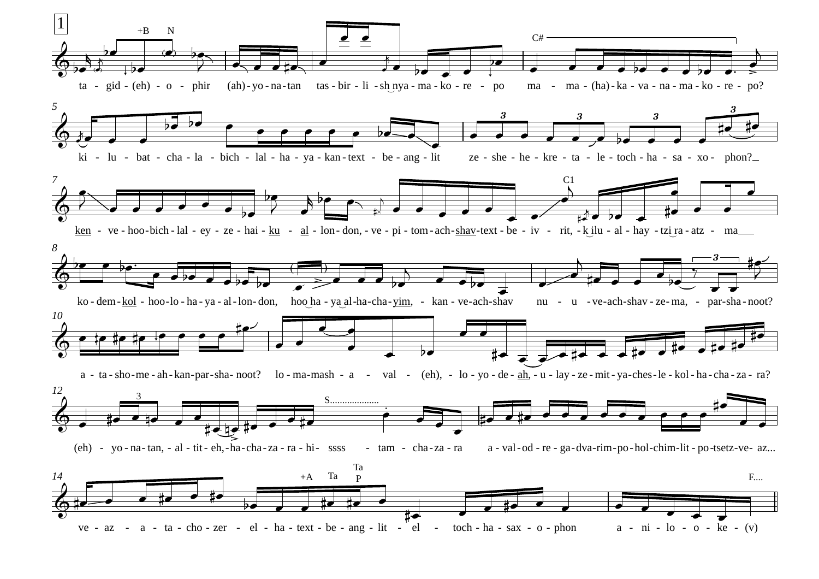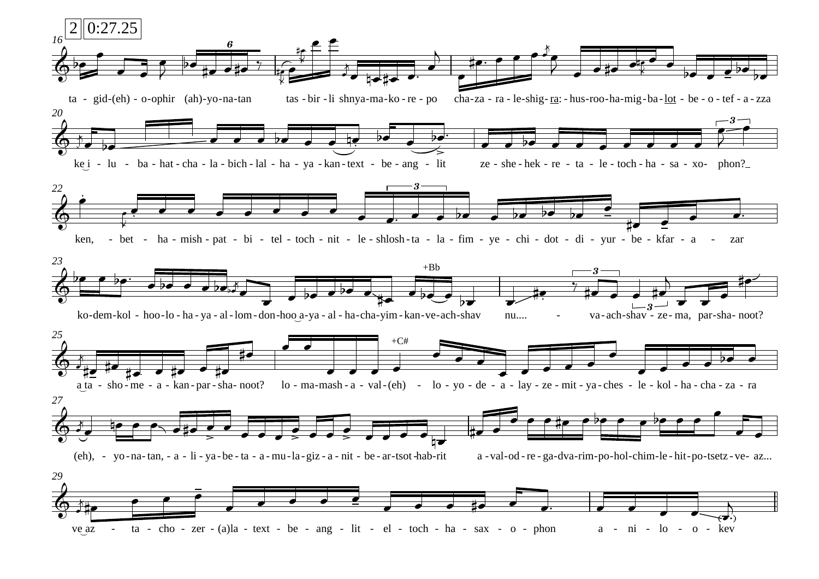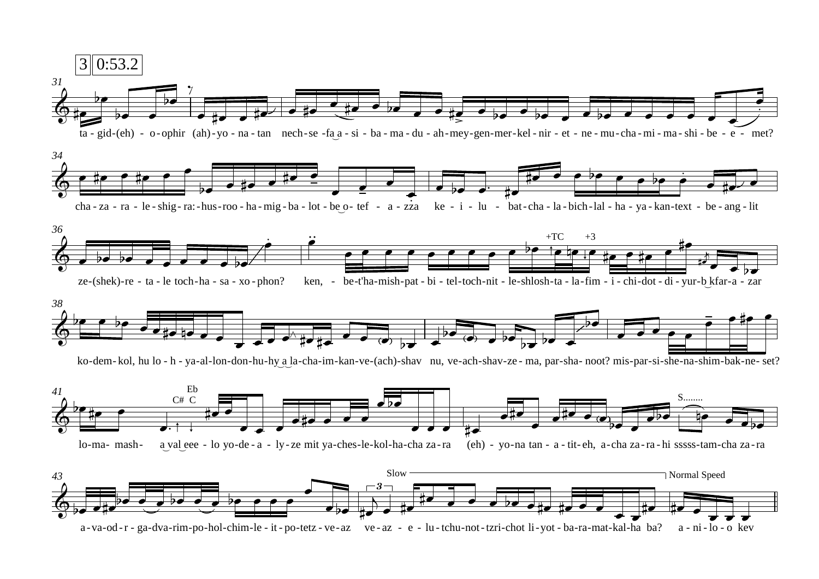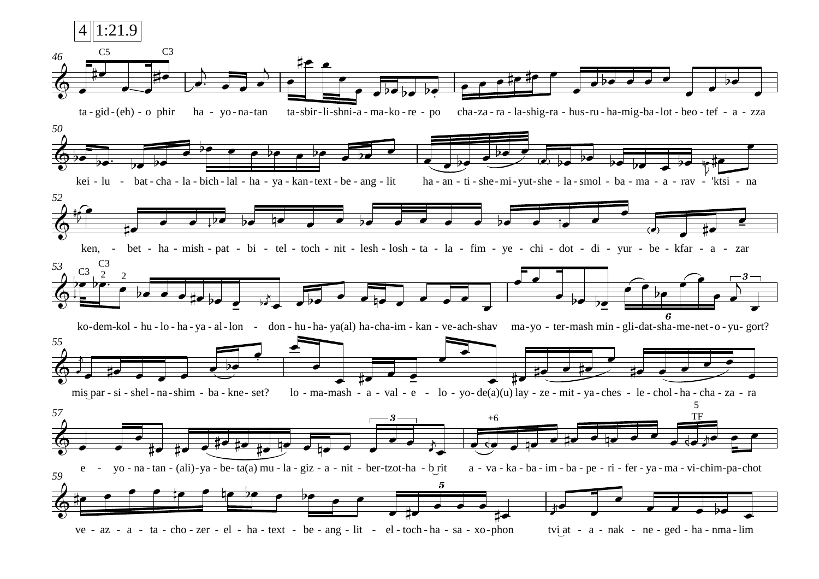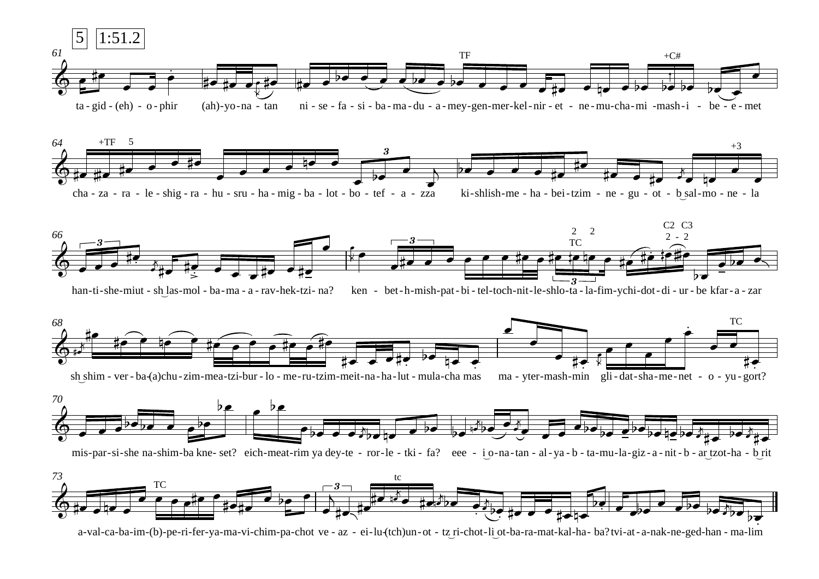





han-ti-she-miut - sh\_las-mol - ba-ma - a - rav-hek-tzi- na? ken - bet-h-mish-pat- bi - tel-toch-nit-le-shlo-ta - la-fim-ychi-dot- di - ur - be kfar- a - zar





mis-par-si-she na-shim-ba kne- set? eich-meat-rim ya dey-te - ror-le - tki - fa? eee - i o-na-tan - al-ya-b - ta-mu-la-giz-a-nit-b - ar\_tzot-ha - b\_rit

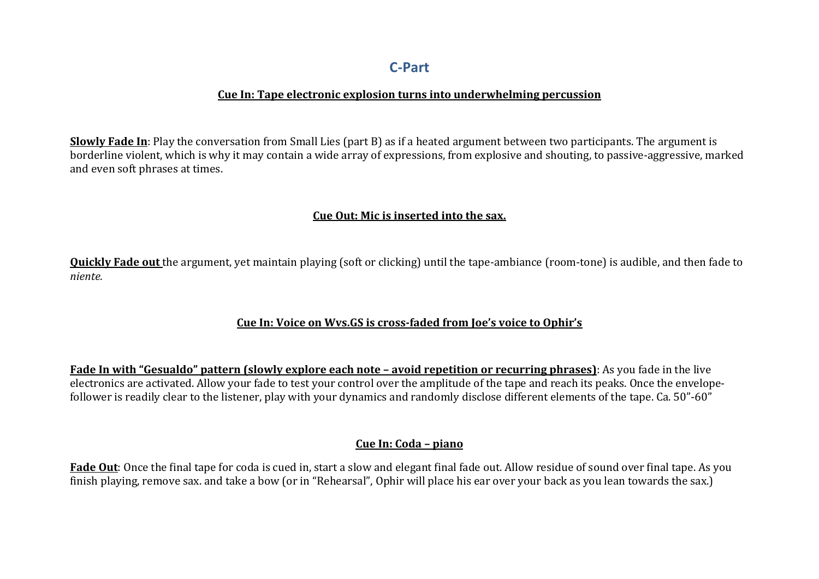## **C-Part**

### **Cue In: Tape electronic explosion turns into underwhelming percussion**

**Slowly Fade In**: Play the conversation from Small Lies (part B) as if a heated argument between two participants. The argument is borderline violent, which is why it may contain a wide array of expressions, from explosive and shouting, to passive-aggressive, marked and even soft phrases at times.

### **Cue Out: Mic is inserted into the sax.**

**Quickly Fade out** the argument, vet maintain playing (soft or clicking) until the tape-ambiance (room-tone) is audible, and then fade to *niente.*

## **Cue In: Voice on Wys.GS is cross-faded from Joe's voice to Ophir's**

**Fade In with "Gesualdo" pattern (slowly explore each note – avoid repetition or recurring phrases)**: As you fade in the live electronics are activated. Allow your fade to test your control over the amplitude of the tape and reach its peaks. Once the envelopefollower is readily clear to the listener, play with your dynamics and randomly disclose different elements of the tape. Ca. 50"-60"

### **Cue In: Coda – piano**

**Fade Out**: Once the final tape for coda is cued in, start a slow and elegant final fade out. Allow residue of sound over final tape. As you finish playing, remove sax. and take a bow (or in "Rehearsal", Ophir will place his ear over your back as you lean towards the sax.)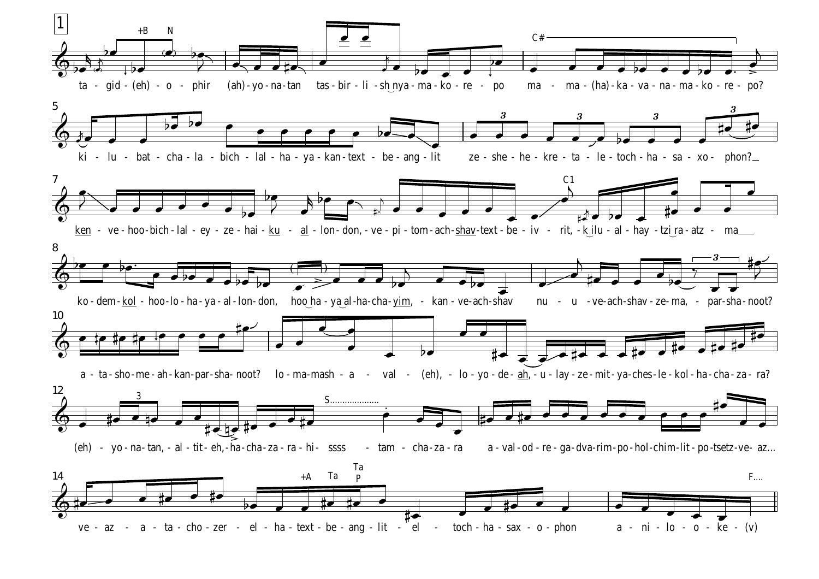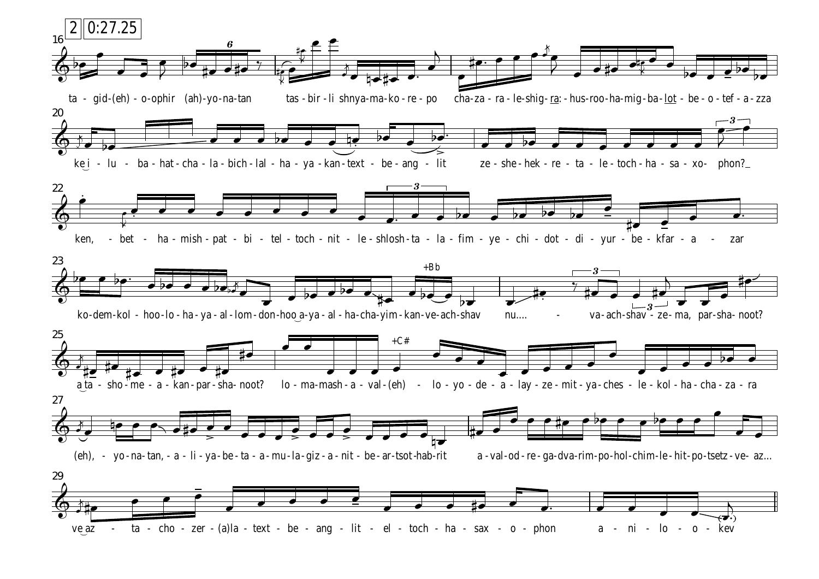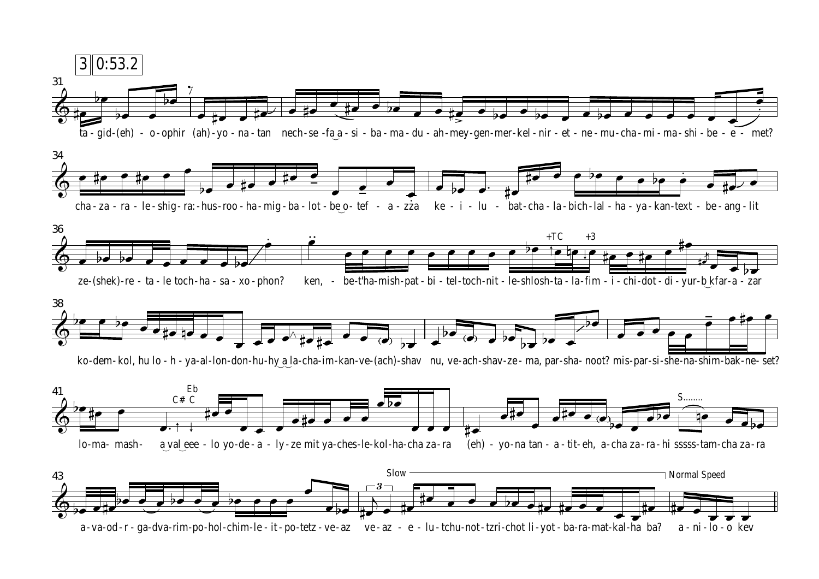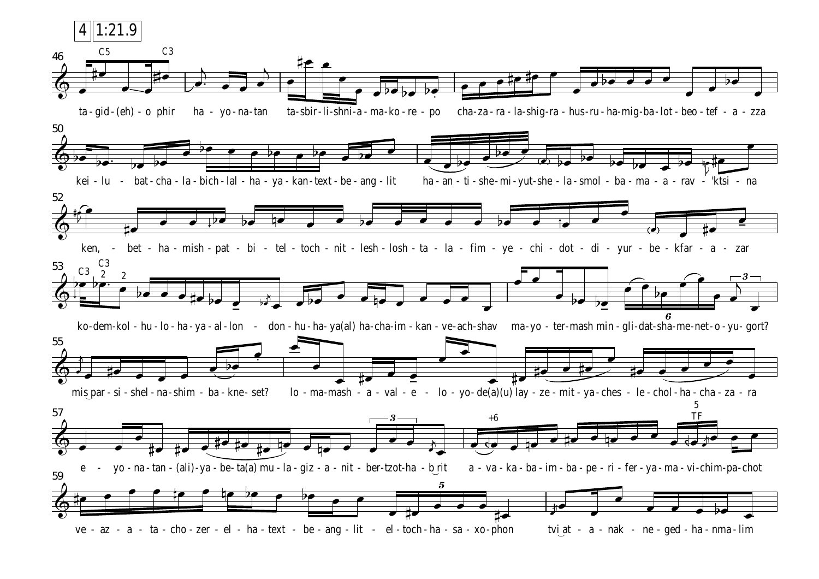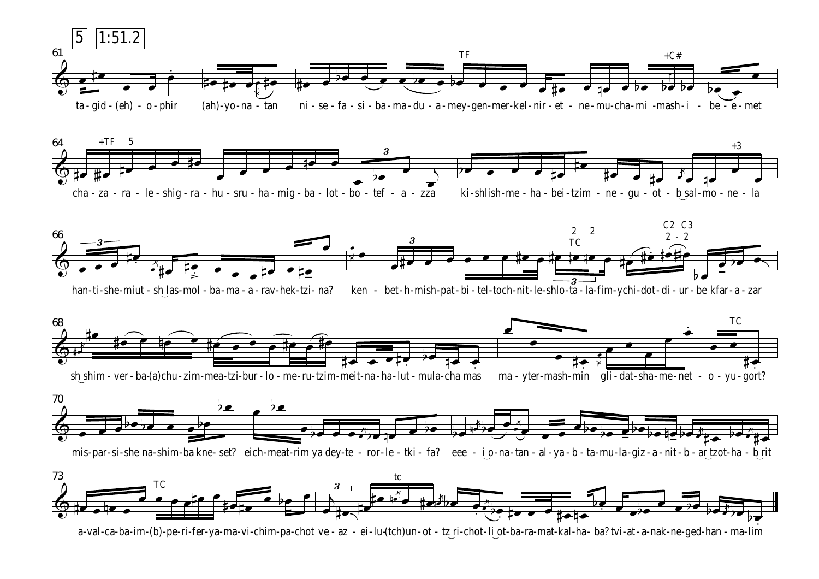





han-ti-she-miut - sh\_las-mol - ba-ma - a - rav-hek-tzi- na? ken - bet-h-mish-pat- bi - tel-toch-nit-le-shlo-ta - la-fim-ychi-dot- di - ur - be kfar- a - zar





mis-par-si-she na-shim-ba kne- set? eich-meat-rim ya dey-te - ror-le - tki - fa? eee - i o-na-tan - al-ya-b - ta-mu-la-giz-a-nit-b - ar\_tzot-ha - b\_rit